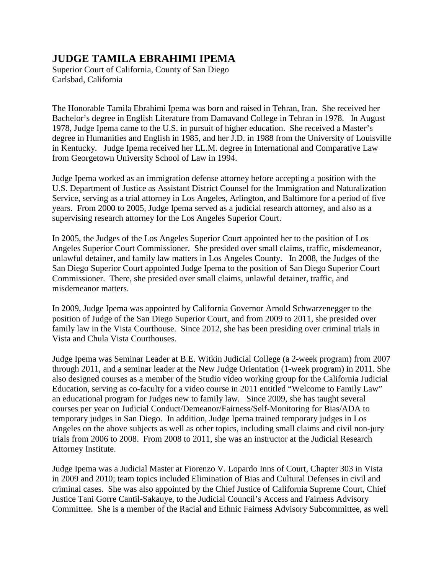## **JUDGE TAMILA EBRAHIMI IPEMA**

Superior Court of California, County of San Diego Carlsbad, California

The Honorable Tamila Ebrahimi Ipema was born and raised in Tehran, Iran. She received her Bachelor's degree in English Literature from Damavand College in Tehran in 1978. In August 1978, Judge Ipema came to the U.S. in pursuit of higher education. She received a Master's degree in Humanities and English in 1985, and her J.D. in 1988 from the University of Louisville in Kentucky. Judge Ipema received her LL.M. degree in International and Comparative Law from Georgetown University School of Law in 1994.

Judge Ipema worked as an immigration defense attorney before accepting a position with the U.S. Department of Justice as Assistant District Counsel for the Immigration and Naturalization Service, serving as a trial attorney in Los Angeles, Arlington, and Baltimore for a period of five years. From 2000 to 2005, Judge Ipema served as a judicial research attorney, and also as a supervising research attorney for the Los Angeles Superior Court.

In 2005, the Judges of the Los Angeles Superior Court appointed her to the position of Los Angeles Superior Court Commissioner. She presided over small claims, traffic, misdemeanor, unlawful detainer, and family law matters in Los Angeles County. In 2008, the Judges of the San Diego Superior Court appointed Judge Ipema to the position of San Diego Superior Court Commissioner. There, she presided over small claims, unlawful detainer, traffic, and misdemeanor matters.

In 2009, Judge Ipema was appointed by California Governor Arnold Schwarzenegger to the position of Judge of the San Diego Superior Court, and from 2009 to 2011, she presided over family law in the Vista Courthouse. Since 2012, she has been presiding over criminal trials in Vista and Chula Vista Courthouses.

Judge Ipema was Seminar Leader at B.E. Witkin Judicial College (a 2-week program) from 2007 through 2011, and a seminar leader at the New Judge Orientation (1-week program) in 2011. She also designed courses as a member of the Studio video working group for the California Judicial Education, serving as co-faculty for a video course in 2011 entitled "Welcome to Family Law" an educational program for Judges new to family law. Since 2009, she has taught several courses per year on Judicial Conduct/Demeanor/Fairness/Self-Monitoring for Bias/ADA to temporary judges in San Diego. In addition, Judge Ipema trained temporary judges in Los Angeles on the above subjects as well as other topics, including small claims and civil non-jury trials from 2006 to 2008. From 2008 to 2011, she was an instructor at the Judicial Research Attorney Institute.

Judge Ipema was a Judicial Master at Fiorenzo V. Lopardo Inns of Court, Chapter 303 in Vista in 2009 and 2010; team topics included Elimination of Bias and Cultural Defenses in civil and criminal cases. She was also appointed by the Chief Justice of California Supreme Court, Chief Justice Tani Gorre Cantil-Sakauye, to the Judicial Council's Access and Fairness Advisory Committee. She is a member of the Racial and Ethnic Fairness Advisory Subcommittee, as well